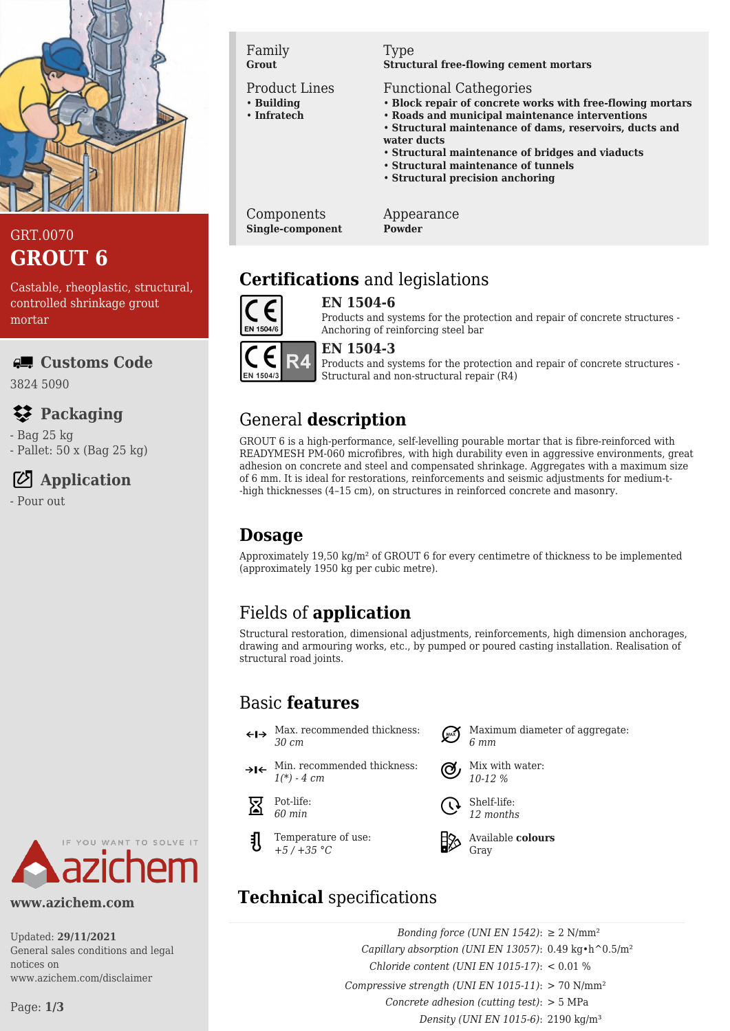

## GRT.0070 **GROUT 6**

Castable, rheoplastic, structural, controlled shrinkage grout mortar

### **Customs Code**

3824 5090

# **Packaging**

- Bag 25 kg

- Pallet: 50 x (Bag 25 kg)

# **Application**

- Pour out



#### **www.azichem.com**

Updated: **29/11/2021** General sales conditions and legal notices on www.azichem.com/disclaimer

Page: **1/3**

Family **Grout**

#### Product Lines

- **Building** • **Infratech**
- 

#### Type

**Structural free-flowing cement mortars**

#### Functional Cathegories

- **Block repair of concrete works with free-flowing mortars**
- **Roads and municipal maintenance interventions**
- **Structural maintenance of dams, reservoirs, ducts and water ducts**
- **Structural maintenance of bridges and viaducts**
- **Structural maintenance of tunnels**
- **Structural precision anchoring**

Components **Single-component** Appearance **Powder**

# **Certifications** and legislations



#### **EN 1504-6**

Products and systems for the protection and repair of concrete structures -



#### **EN 1504-3**

Products and systems for the protection and repair of concrete structures - Structural and non-structural repair (R4)

# General **description**

GROUT 6 is a high-performance, self-levelling pourable mortar that is fibre-reinforced with READYMESH PM-060 microfibres, with high durability even in aggressive environments, great adhesion on concrete and steel and compensated shrinkage. Aggregates with a maximum size of 6 mm. It is ideal for restorations, reinforcements and seismic adjustments for medium-t- -high thicknesses (4–15 cm), on structures in reinforced concrete and masonry.

# **Dosage**

Approximately 19,50 kg/m² of GROUT 6 for every centimetre of thickness to be implemented (approximately 1950 kg per cubic metre).

# Fields of **application**

Structural restoration, dimensional adjustments, reinforcements, high dimension anchorages, drawing and armouring works, etc., by pumped or poured casting installation. Realisation of structural road joints.

*6 mm*

Shelf-life: *12 months*

Gray

Mix with water: *10-12 %*

Available **colours**

Maximum diameter of aggregate:

# Basic **features**

- $\leftarrow \rightarrow$  Max. recommended thickness: *30 cm*
- $\rightarrow$ I $\leftarrow$  Min. recommended thickness: *1(\*) - 4 cm*



Temperature of use: *+5 / +35 °C*

# **Technical** specifications

*Bonding force (UNI EN 1542)*: ≥ 2 N/mm² *Capillary absorption (UNI EN 13057)*: 0.49 kg•h^0.5/m² *Chloride content (UNI EN 1015-17)*: < 0.01 % *Compressive strength (UNI EN 1015-11)*: > 70 N/mm² *Concrete adhesion (cutting test)*: > 5 MPa *Density (UNI EN 1015-6)*: 2190 kg/m³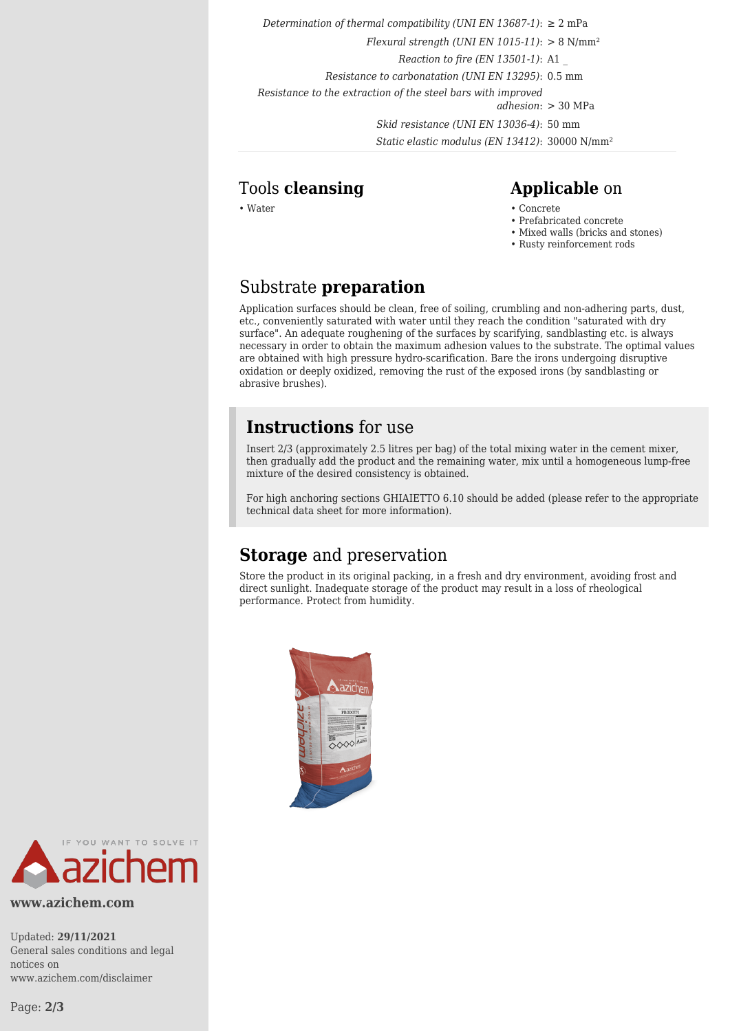*Determination of thermal compatibility (UNI EN 13687-1)*:  $\geq 2$  mPa

*Flexural strength (UNI EN 1015-11)*: > 8 N/mm²

*Reaction to fire (EN 13501-1)*: A1 \_

*Resistance to carbonatation (UNI EN 13295)*: 0.5 mm

*Resistance to the extraction of the steel bars with improved*

*adhesion*: > 30 MPa

*Skid resistance (UNI EN 13036-4)*: 50 mm *Static elastic modulus (EN 13412)*: 30000 N/mm²

#### Tools **cleansing Applicable** on

- Water Concrete Concrete Concrete Concrete Concrete Concrete Concrete Concrete Concrete Concrete  $\sim$  Concrete Concrete  $\sim$  Concrete  $\sim$  Concrete  $\sim$  Concrete  $\sim$  Concrete  $\sim$  Concre
	- Prefabricated concrete
	- Mixed walls (bricks and stones)
	- Rusty reinforcement rods

## Substrate **preparation**

Application surfaces should be clean, free of soiling, crumbling and non-adhering parts, dust, etc., conveniently saturated with water until they reach the condition "saturated with dry surface". An adequate roughening of the surfaces by scarifying, sandblasting etc. is always necessary in order to obtain the maximum adhesion values to the substrate. The optimal values are obtained with high pressure hydro-scarification. Bare the irons undergoing disruptive oxidation or deeply oxidized, removing the rust of the exposed irons (by sandblasting or abrasive brushes).

## **Instructions** for use

Insert 2/3 (approximately 2.5 litres per bag) of the total mixing water in the cement mixer, then gradually add the product and the remaining water, mix until a homogeneous lump-free mixture of the desired consistency is obtained.

For high anchoring sections GHIAIETTO 6.10 should be added (please refer to the appropriate technical data sheet for more information).

## **Storage** and preservation

Store the product in its original packing, in a fresh and dry environment, avoiding frost and direct sunlight. Inadequate storage of the product may result in a loss of rheological performance. Protect from humidity.





**www.azichem.com**

Updated: **29/11/2021** General sales conditions and legal notices on www.azichem.com/disclaimer